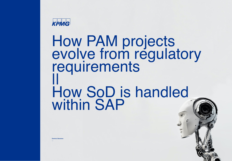

# How PAM projects evolve from regulatory **requirements** || How SoD is handled within SAP

**Dominic Stommen** 

—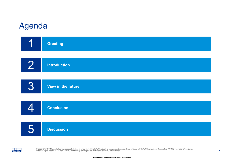### Agenda



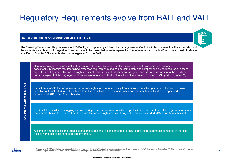### Regulatory Requirements evolve from BAIT and VAIT

**Bankaufsichtliche Anforderungen an die IT (BAIT)**



The "Banking Supervision Requirements for IT" (BAIT), which primarily address the management of Credit institutions, states that the expectations of the supervisory authority with regard to IT security should be presented more transparently. The requirements of the MaRisk in the context of IAM are specified in Chapter 5 "User authorization management" of the BAIT.

User access rights concepts define the scope and the conditions of use for access rights to IT systems in a manner that is consistently in line with the determined protection requirements and can be completely and comprehensibly deduced for all access rights for an IT system. User access rights concepts shall ensure that users are assigned access rights according to the need-toknow principle, that the segregation of duties is observed and that staff conflicts of interest are avoided. (BAIT part 5, number 24)

It must be possible for non-personalised access rights to be unequivocally traced back to an active person at all times (wherever possible, automatically). Any departures from this in justifiable exceptional cases and the resultant risks shall be approved and documented. (BAIT part 5, number 25)

The institution shall set up logging and monitoring processes consistent with the protection requirements and the target requirements that enable checks to be carried out to ensure that access rights are used only in the manner intended. (BAIT part 5, number 29)

Accompanying technical and organisational measures shall be implemented to ensure that the requirements contained in the user access rights concepts cannot be circumvented.



**Key Points Chapter 5 BAIT**

**Points Chapter** 

Key

**BAIT** ဖာ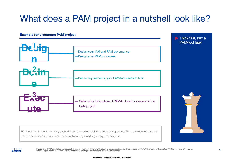### What does a PAM project in a nutshell look like?

#### **Example for a common PAM project**



PAM-tool requirements can vary depending on the sector in which a company operates. The main requirements that need to be defined are functional, non-functional, legal and regulatory specifications.



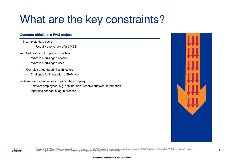## What are the key constraints?

### **Common pitfalls in a PAM project**

- —Incomplete data basis
	- Usually due to lack of a CMDB
- Definitions not in place or unclear
	- What is a privileged account
	- What is a privileged user
- Complex or outdated IT architecture
	- Challenge for integration of PAM-tool
- Insufficient communication within the company
	- Relevant employees, e.g. admins, don't receive sufficient information regarding change in log-in process

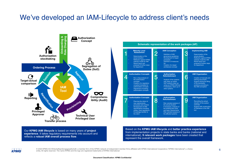### We've developed an IAM-Lifecycle to address client's needs



Our **KPMG IAM lifecycle** is based on many years of **project experience**. It takes regulatory requirements into account and reflects a **robust IAM overall process flow**.



Based on the **KPMG IAM lifecycle** and **better practice experience**  from implementation projects in state banks and banks (national and international), **9 relevant work packages** have been created that represent the overall framework.

**KPMG**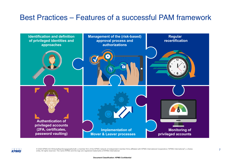### Best Practices – Features of a successful PAM framework



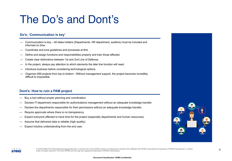## The Do's and Dont's

#### **Do's: 'Communication is key'**

- Communication is key All stake holders (Departments, HR department, auditors) must be included and informed on time.
- Coordinate and tune guidelines and processes at first.
- Define and assign functions and responsibilities properly and train those affected.
- Create clear distinctions between 1st and 2nd Line of Defense.
- In the project, always pay attention to which elements the later line function will need.
- Introduce business before considering technological options.
- Organize IAM projects from top to bottom Without management support, the project becomes incredibly difficult to impossible.

#### **Dont's: How to ruin a PAM project**

- Buy a tool without proper planning and coordination.
- Declare IT-department responsible for authorizations management without an adequate knowledge transfer.
- Declare the departments responsible for their permissions without an adequate knowledge transfer.
- Require approvals where there is no transparency.
- Expect everyone affected to have time for the project (especially departments and human resources).
- Assume that delivered data is reliable (high quality).
- Expect intuitive understanding from the end user.



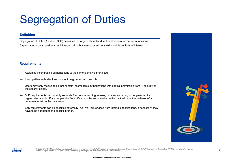## Segregation of Duties

#### **Definition**

Segregation of Duties (in short: SoD) describes the organizational and technical separation between functions (organizational units, positions, activities, etc.) in a business process to avoid possible conflicts of interest.

#### **Requirements**

- Assigning incompatible authorizations to the same identity is prohibited.
- Incompatible authorizations must not be grouped into one role.
- Users may only receive roles that contain incompatible authorizations with special permission from IT security or the security officer.
- SoD requirements can not only separate functions according to roles, but also according to people or entire organizational units. For example. the front office must be separated from the back office or the reviewer of a document must not be the creator.
- SoD requirements can be specified externally (e.g. MaRisk) or arise from internal specifications. If necessary, they have to be adapted to the specific branch.



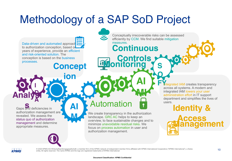## Methodology of a SAP SoD Project

**Concept** Data-driven and automated approaches to authorization conception, based on years of experience, provide an efficient and risk-oriented solution. The conception is based on the business processes.

Gaps and deficiencies in authorization management are revealed. We assess the status quo of authorization management and determine appropriate measures.

**I**

**D**

**Analysi**

**A**

**AI**

**ion**

**M**

### Automation

We create transparency in the authorization landscape. GRC AC helps to keep an overview, to face sustainable changes and to minimize unavoidable residual risks. We focus on process automation in user and authorization management.

**AI FY** htegrated IAM creates transparency across all systems. A modern and integrated IAM lowers your user administration effort in IT support department and simplifies the lives of users.

**S**

**O**

**MI**

 **Continuous** 

measures.

**Monitoring**

Conceptually irrecoverable risks can be assessed efficiently by CCM. We find suitable mitigation

**Controls**



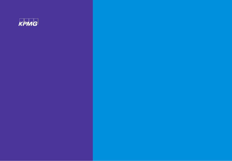